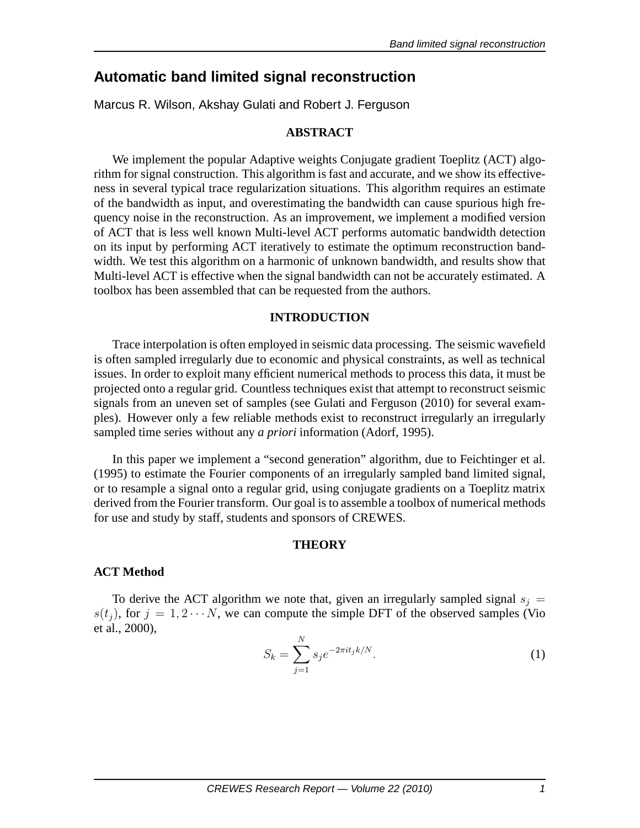# **Automatic band limited signal reconstruction**

Marcus R. Wilson, Akshay Gulati and Robert J. Ferguson

### **ABSTRACT**

We implement the popular Adaptive weights Conjugate gradient Toeplitz (ACT) algorithm for signal construction. This algorithm is fast and accurate, and we show its effectiveness in several typical trace regularization situations. This algorithm requires an estimate of the bandwidth as input, and overestimating the bandwidth can cause spurious high frequency noise in the reconstruction. As an improvement, we implement a modified version of ACT that is less well known Multi-level ACT performs automatic bandwidth detection on its input by performing ACT iteratively to estimate the optimum reconstruction bandwidth. We test this algorithm on a harmonic of unknown bandwidth, and results show that Multi-level ACT is effective when the signal bandwidth can not be accurately estimated. A toolbox has been assembled that can be requested from the authors.

### **INTRODUCTION**

Trace interpolation is often employed in seismic data processing. The seismic wavefield is often sampled irregularly due to economic and physical constraints, as well as technical issues. In order to exploit many efficient numerical methods to process this data, it must be projected onto a regular grid. Countless techniques exist that attempt to reconstruct seismic signals from an uneven set of samples (see Gulati and Ferguson (2010) for several examples). However only a few reliable methods exist to reconstruct irregularly an irregularly sampled time series without any *a priori* information (Adorf, 1995).

In this paper we implement a "second generation" algorithm, due to Feichtinger et al. (1995) to estimate the Fourier components of an irregularly sampled band limited signal, or to resample a signal onto a regular grid, using conjugate gradients on a Toeplitz matrix derived from the Fourier transform. Our goal is to assemble a toolbox of numerical methods for use and study by staff, students and sponsors of CREWES.

### **THEORY**

### **ACT Method**

To derive the ACT algorithm we note that, given an irregularly sampled signal  $s_i =$  $s(t_i)$ , for  $j = 1, 2 \cdots N$ , we can compute the simple DFT of the observed samples (Vio et al., 2000),

$$
S_k = \sum_{j=1}^{N} s_j e^{-2\pi i t_j k/N}.
$$
 (1)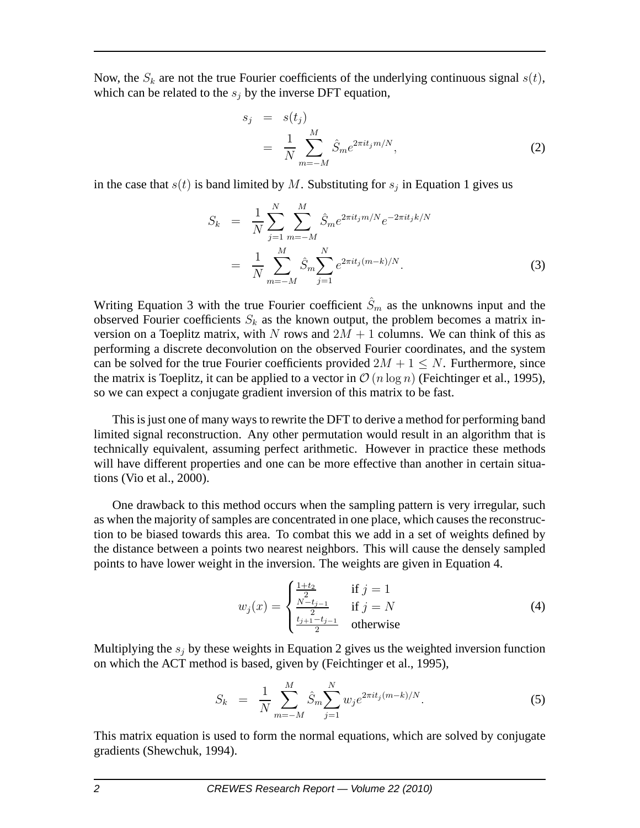Now, the  $S_k$  are not the true Fourier coefficients of the underlying continuous signal  $s(t)$ , which can be related to the  $s_i$  by the inverse DFT equation,

$$
s_j = s(t_j)
$$
  
= 
$$
\frac{1}{N} \sum_{m=-M}^{M} \hat{S}_m e^{2\pi i t_j m/N},
$$
 (2)

in the case that  $s(t)$  is band limited by M. Substituting for  $s_j$  in Equation 1 gives us

$$
S_k = \frac{1}{N} \sum_{j=1}^{N} \sum_{m=-M}^{M} \hat{S}_m e^{2\pi i t_j m/N} e^{-2\pi i t_j k/N}
$$

$$
= \frac{1}{N} \sum_{m=-M}^{M} \hat{S}_m \sum_{j=1}^{N} e^{2\pi i t_j (m-k)/N}.
$$
(3)

Writing Equation 3 with the true Fourier coefficient  $\hat{S}_m$  as the unknowns input and the observed Fourier coefficients  $S_k$  as the known output, the problem becomes a matrix inversion on a Toeplitz matrix, with N rows and  $2M + 1$  columns. We can think of this as performing a discrete deconvolution on the observed Fourier coordinates, and the system can be solved for the true Fourier coefficients provided  $2M + 1 \leq N$ . Furthermore, since the matrix is Toeplitz, it can be applied to a vector in  $\mathcal{O}(n \log n)$  (Feichtinger et al., 1995), so we can expect a conjugate gradient inversion of this matrix to be fast.

This is just one of many ways to rewrite the DFT to derive a method for performing band limited signal reconstruction. Any other permutation would result in an algorithm that is technically equivalent, assuming perfect arithmetic. However in practice these methods will have different properties and one can be more effective than another in certain situations (Vio et al., 2000).

One drawback to this method occurs when the sampling pattern is very irregular, such as when the majority of samples are concentrated in one place, which causes the reconstruction to be biased towards this area. To combat this we add in a set of weights defined by the distance between a points two nearest neighbors. This will cause the densely sampled points to have lower weight in the inversion. The weights are given in Equation 4.

$$
w_j(x) = \begin{cases} \frac{1+t_2}{2} & \text{if } j = 1\\ \frac{N-t_{j-1}}{2} & \text{if } j = N\\ \frac{t_{j+1}-t_{j-1}}{2} & \text{otherwise} \end{cases}
$$
(4)

Multiplying the  $s_i$  by these weights in Equation 2 gives us the weighted inversion function on which the ACT method is based, given by (Feichtinger et al., 1995),

$$
S_k = \frac{1}{N} \sum_{m=-M}^{M} \hat{S}_m \sum_{j=1}^{N} w_j e^{2\pi i t_j (m-k)/N}.
$$
 (5)

This matrix equation is used to form the normal equations, which are solved by conjugate gradients (Shewchuk, 1994).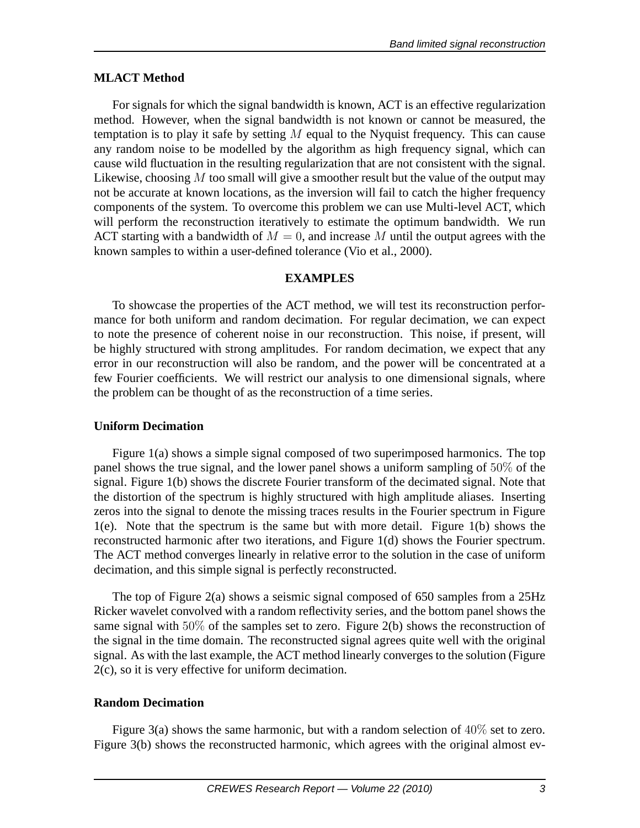# **MLACT Method**

For signals for which the signal bandwidth is known, ACT is an effective regularization method. However, when the signal bandwidth is not known or cannot be measured, the temptation is to play it safe by setting  $M$  equal to the Nyquist frequency. This can cause any random noise to be modelled by the algorithm as high frequency signal, which can cause wild fluctuation in the resulting regularization that are not consistent with the signal. Likewise, choosing  $M$  too small will give a smoother result but the value of the output may not be accurate at known locations, as the inversion will fail to catch the higher frequency components of the system. To overcome this problem we can use Multi-level ACT, which will perform the reconstruction iteratively to estimate the optimum bandwidth. We run ACT starting with a bandwidth of  $M = 0$ , and increase M until the output agrees with the known samples to within a user-defined tolerance (Vio et al., 2000).

# **EXAMPLES**

To showcase the properties of the ACT method, we will test its reconstruction performance for both uniform and random decimation. For regular decimation, we can expect to note the presence of coherent noise in our reconstruction. This noise, if present, will be highly structured with strong amplitudes. For random decimation, we expect that any error in our reconstruction will also be random, and the power will be concentrated at a few Fourier coefficients. We will restrict our analysis to one dimensional signals, where the problem can be thought of as the reconstruction of a time series.

### **Uniform Decimation**

Figure 1(a) shows a simple signal composed of two superimposed harmonics. The top panel shows the true signal, and the lower panel shows a uniform sampling of 50% of the signal. Figure 1(b) shows the discrete Fourier transform of the decimated signal. Note that the distortion of the spectrum is highly structured with high amplitude aliases. Inserting zeros into the signal to denote the missing traces results in the Fourier spectrum in Figure 1(e). Note that the spectrum is the same but with more detail. Figure 1(b) shows the reconstructed harmonic after two iterations, and Figure 1(d) shows the Fourier spectrum. The ACT method converges linearly in relative error to the solution in the case of uniform decimation, and this simple signal is perfectly reconstructed.

The top of Figure 2(a) shows a seismic signal composed of 650 samples from a 25Hz Ricker wavelet convolved with a random reflectivity series, and the bottom panel shows the same signal with 50% of the samples set to zero. Figure 2(b) shows the reconstruction of the signal in the time domain. The reconstructed signal agrees quite well with the original signal. As with the last example, the ACT method linearly converges to the solution (Figure 2(c), so it is very effective for uniform decimation.

# **Random Decimation**

Figure 3(a) shows the same harmonic, but with a random selection of 40% set to zero. Figure 3(b) shows the reconstructed harmonic, which agrees with the original almost ev-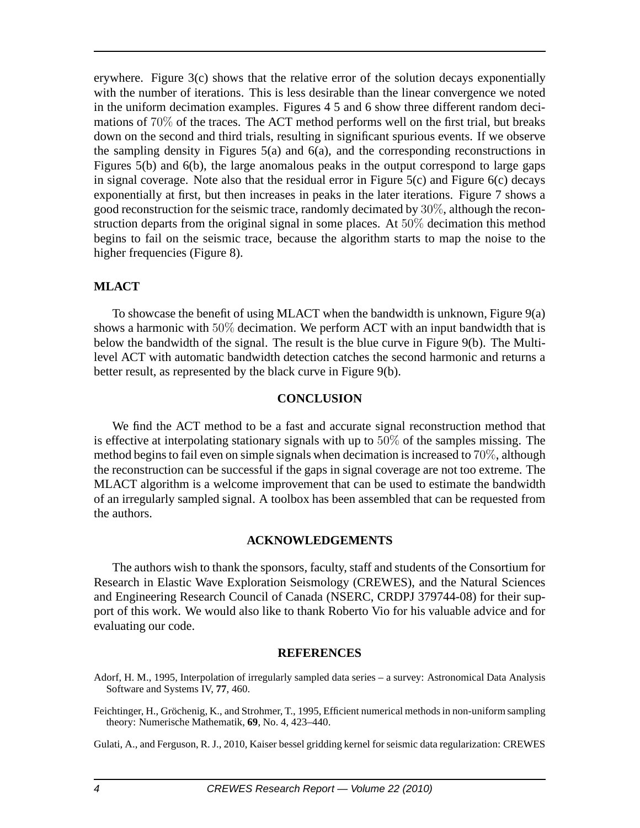erywhere. Figure 3(c) shows that the relative error of the solution decays exponentially with the number of iterations. This is less desirable than the linear convergence we noted in the uniform decimation examples. Figures 4 5 and 6 show three different random decimations of 70% of the traces. The ACT method performs well on the first trial, but breaks down on the second and third trials, resulting in significant spurious events. If we observe the sampling density in Figures 5(a) and 6(a), and the corresponding reconstructions in Figures 5(b) and 6(b), the large anomalous peaks in the output correspond to large gaps in signal coverage. Note also that the residual error in Figure  $5(c)$  and Figure  $6(c)$  decays exponentially at first, but then increases in peaks in the later iterations. Figure 7 shows a good reconstruction for the seismic trace, randomly decimated by 30%, although the reconstruction departs from the original signal in some places. At 50% decimation this method begins to fail on the seismic trace, because the algorithm starts to map the noise to the higher frequencies (Figure 8).

### **MLACT**

To showcase the benefit of using MLACT when the bandwidth is unknown, Figure 9(a) shows a harmonic with  $50\%$  decimation. We perform ACT with an input bandwidth that is below the bandwidth of the signal. The result is the blue curve in Figure 9(b). The Multilevel ACT with automatic bandwidth detection catches the second harmonic and returns a better result, as represented by the black curve in Figure 9(b).

### **CONCLUSION**

We find the ACT method to be a fast and accurate signal reconstruction method that is effective at interpolating stationary signals with up to 50% of the samples missing. The method begins to fail even on simple signals when decimation is increased to 70%, although the reconstruction can be successful if the gaps in signal coverage are not too extreme. The MLACT algorithm is a welcome improvement that can be used to estimate the bandwidth of an irregularly sampled signal. A toolbox has been assembled that can be requested from the authors.

#### **ACKNOWLEDGEMENTS**

The authors wish to thank the sponsors, faculty, staff and students of the Consortium for Research in Elastic Wave Exploration Seismology (CREWES), and the Natural Sciences and Engineering Research Council of Canada (NSERC, CRDPJ 379744-08) for their support of this work. We would also like to thank Roberto Vio for his valuable advice and for evaluating our code.

#### **REFERENCES**

- Adorf, H. M., 1995, Interpolation of irregularly sampled data series a survey: Astronomical Data Analysis Software and Systems IV, **77**, 460.
- Feichtinger, H., Gröchenig, K., and Strohmer, T., 1995, Efficient numerical methods in non-uniform sampling theory: Numerische Mathematik, **69**, No. 4, 423–440.

Gulati, A., and Ferguson, R. J., 2010, Kaiser bessel gridding kernel for seismic data regularization: CREWES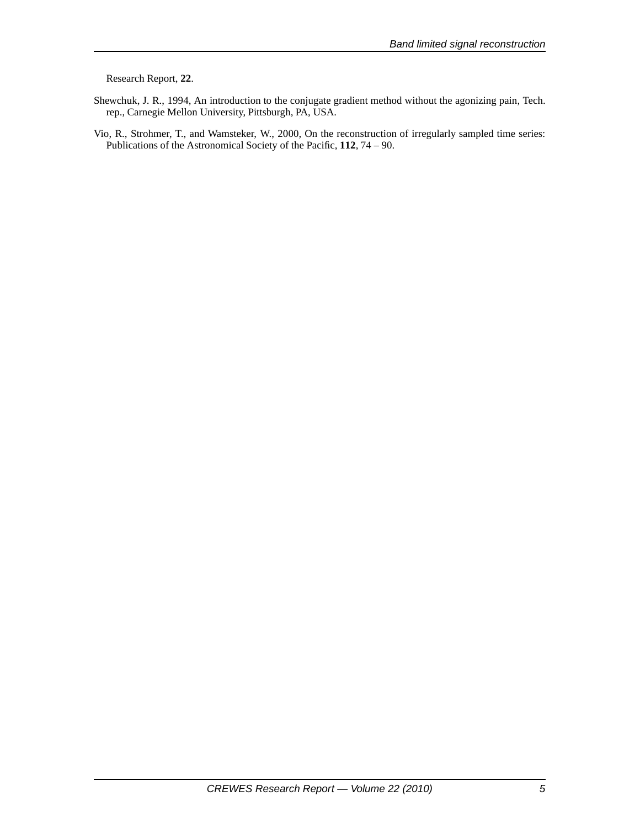Research Report, **22**.

- Shewchuk, J. R., 1994, An introduction to the conjugate gradient method without the agonizing pain, Tech. rep., Carnegie Mellon University, Pittsburgh, PA, USA.
- Vio, R., Strohmer, T., and Wamsteker, W., 2000, On the reconstruction of irregularly sampled time series: Publications of the Astronomical Society of the Pacific, **112**, 74 – 90.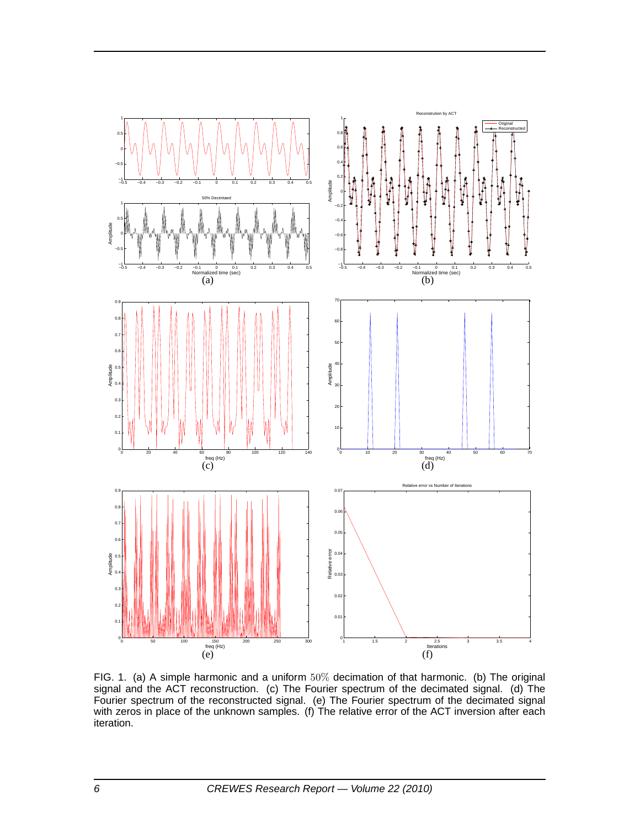

FIG. 1. (a) A simple harmonic and a uniform 50% decimation of that harmonic. (b) The original signal and the ACT reconstruction. (c) The Fourier spectrum of the decimated signal. (d) The Fourier spectrum of the reconstructed signal. (e) The Fourier spectrum of the decimated signal with zeros in place of the unknown samples. (f) The relative error of the ACT inversion after each iteration.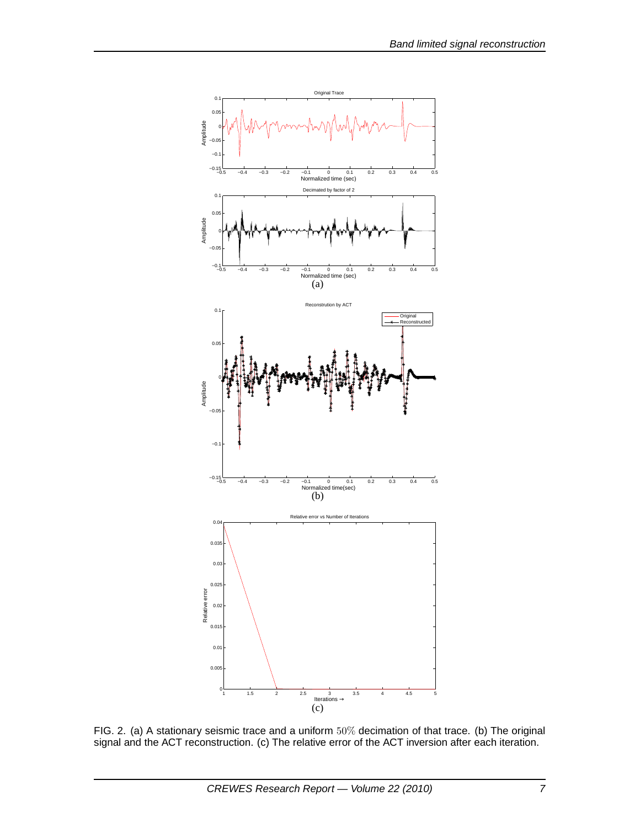

FIG. 2. (a) A stationary seismic trace and a uniform  $50\%$  decimation of that trace. (b) The original signal and the ACT reconstruction. (c) The relative error of the ACT inversion after each iteration.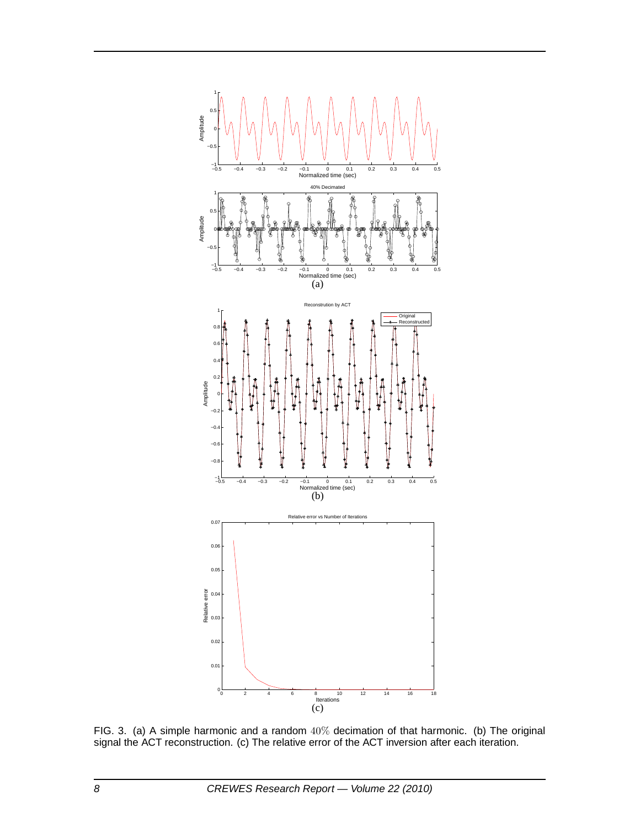

FIG. 3. (a) A simple harmonic and a random  $40\%$  decimation of that harmonic. (b) The original signal the ACT reconstruction. (c) The relative error of the ACT inversion after each iteration.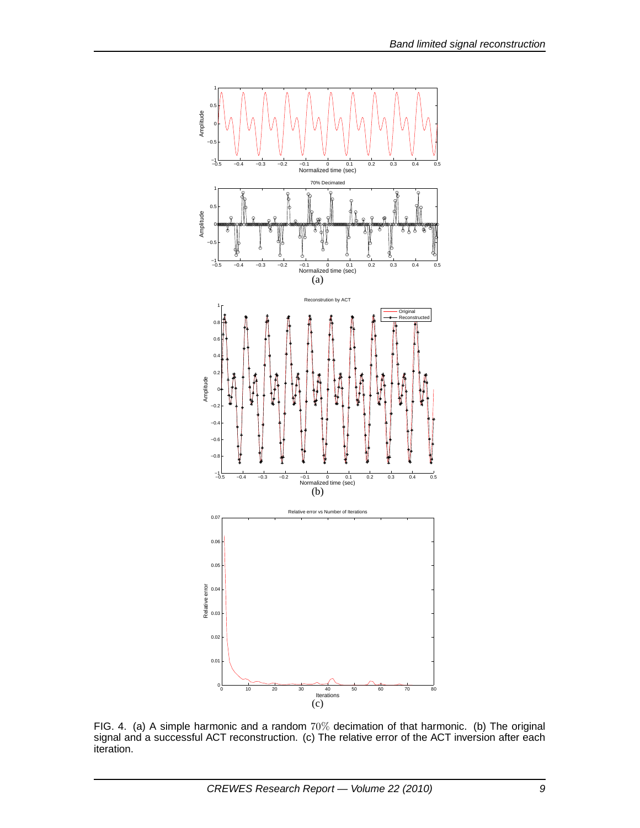

FIG. 4. (a) A simple harmonic and a random 70% decimation of that harmonic. (b) The original signal and a successful ACT reconstruction. (c) The relative error of the ACT inversion after each iteration.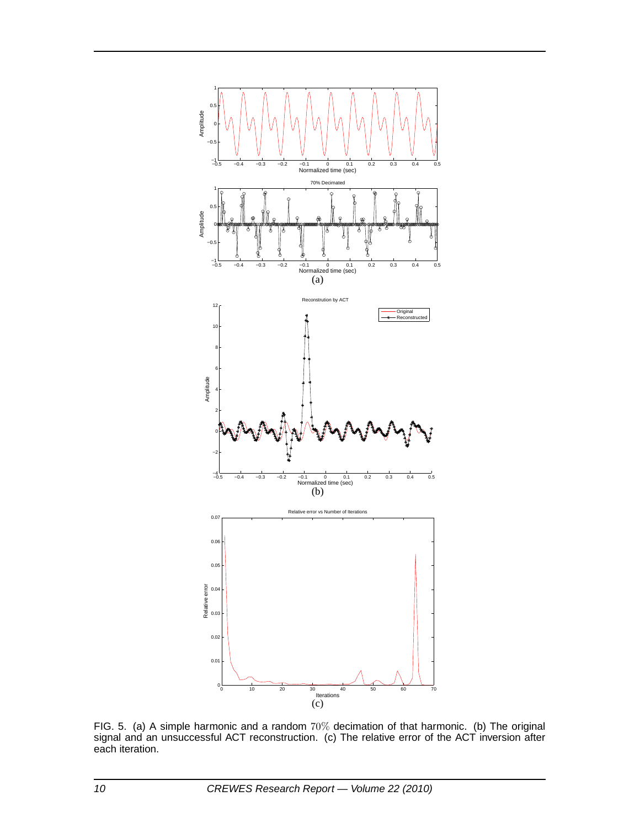

FIG. 5. (a) A simple harmonic and a random 70% decimation of that harmonic. (b) The original signal and an unsuccessful ACT reconstruction. (c) The relative error of the ACT inversion after each iteration.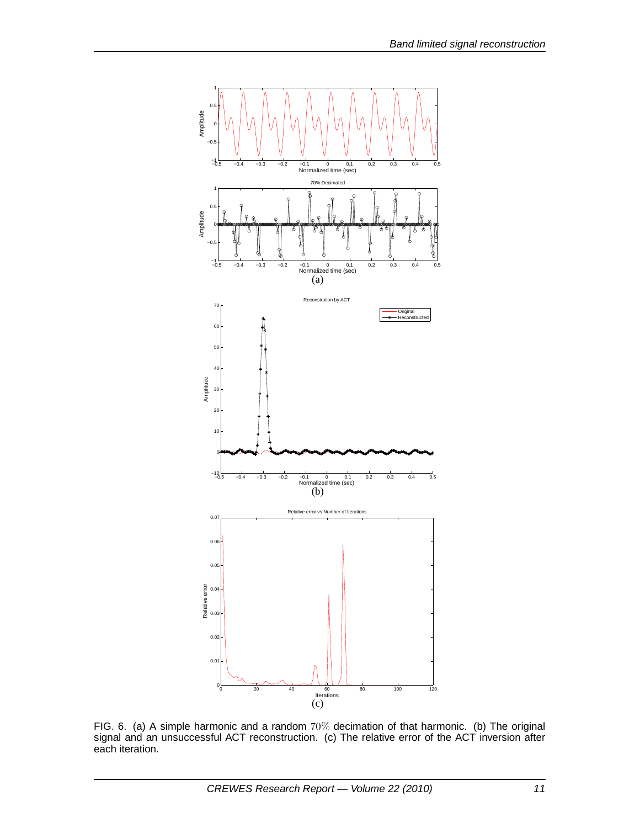

FIG. 6. (a) A simple harmonic and a random 70% decimation of that harmonic. (b) The original signal and an unsuccessful ACT reconstruction. (c) The relative error of the ACT inversion after each iteration.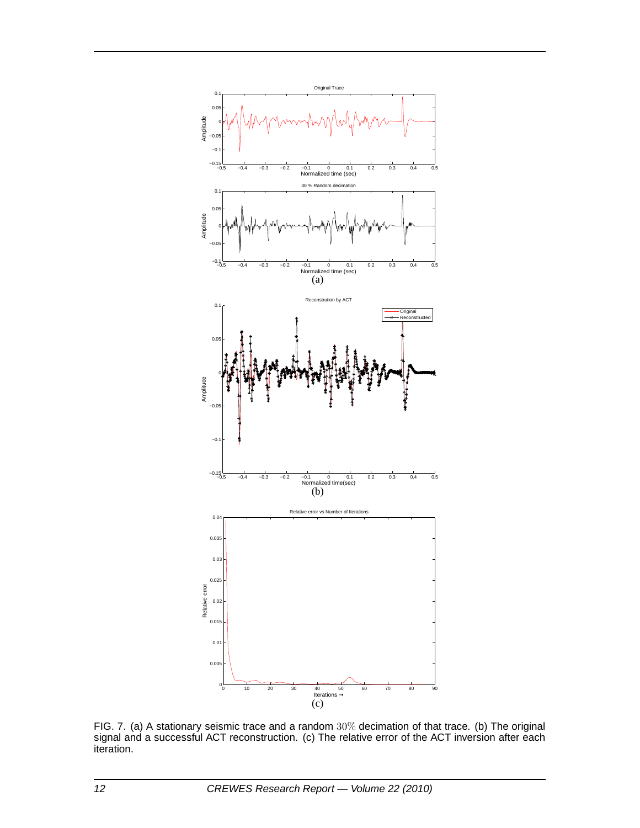

FIG. 7. (a) A stationary seismic trace and a random 30% decimation of that trace. (b) The original signal and a successful ACT reconstruction. (c) The relative error of the ACT inversion after each iteration.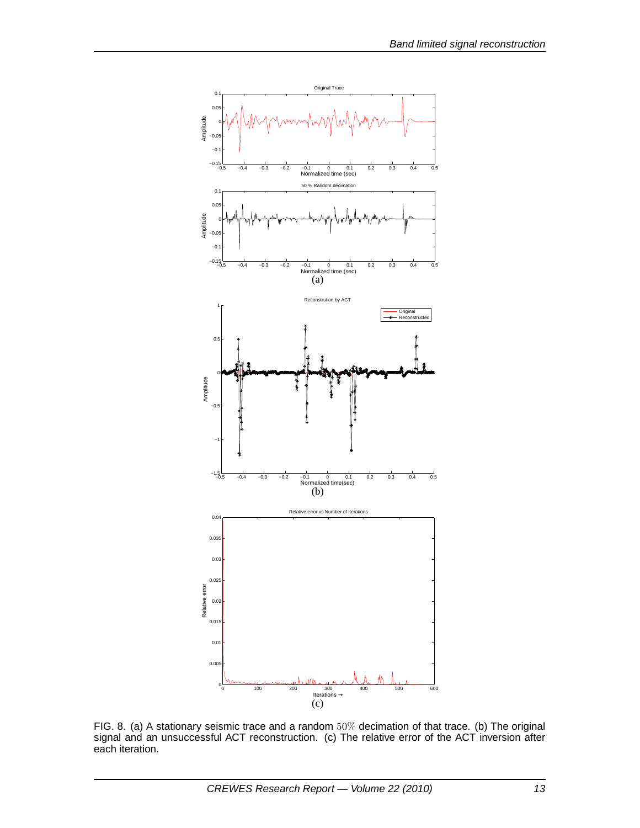

FIG. 8. (a) A stationary seismic trace and a random 50% decimation of that trace. (b) The original signal and an unsuccessful ACT reconstruction. (c) The relative error of the ACT inversion after each iteration.